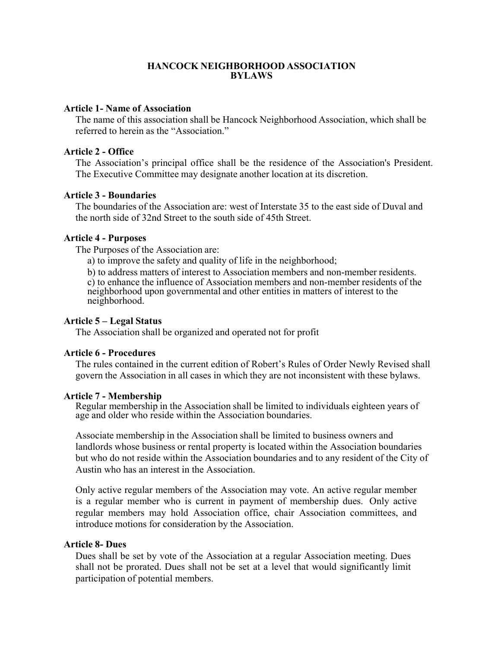# **HANCOCK NEIGHBORHOOD ASSOCIATION BYLAWS**

### **Article 1- Name of Association**

The name of this association shall be Hancock Neighborhood Association, which shall be referred to herein as the "Association."

### **Article 2 - Office**

The Association's principal office shall be the residence of the Association's President. The Executive Committee may designate another location at its discretion.

### **Article 3 - Boundaries**

The boundaries of the Association are: west of Interstate 35 to the east side of Duval and the north side of 32nd Street to the south side of 45th Street.

### **Article 4 - Purposes**

The Purposes of the Association are:

a) to improve the safety and quality of life in the neighborhood;

b) to address matters of interest to Association members and non-member residents. c) to enhance the influence of Association members and non-member residents of the neighborhood upon governmental and other entities in matters of interest to the neighborhood.

### **Article 5 – Legal Status**

The Association shall be organized and operated not for profit

### **Article 6 - Procedures**

The rules contained in the current edition of Robert's Rules of Order Newly Revised shall govern the Association in all cases in which they are not inconsistent with these bylaws.

#### **Article 7 - Membership**

Regular membership in the Association shall be limited to individuals eighteen years of age and older who reside within the Association boundaries.

Associate membership in the Association shall be limited to business owners and landlords whose business or rental property is located within the Association boundaries but who do not reside within the Association boundaries and to any resident of the City of Austin who has an interest in the Association.

Only active regular members of the Association may vote. An active regular member is a regular member who is current in payment of membership dues. Only active regular members may hold Association office, chair Association committees, and introduce motions for consideration by the Association.

### **Article 8- Dues**

Dues shall be set by vote of the Association at a regular Association meeting. Dues shall not be prorated. Dues shall not be set at a level that would significantly limit participation of potential members.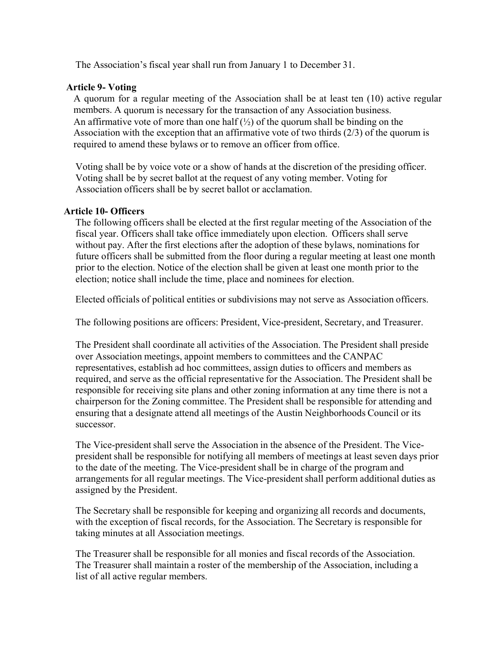The Association's fiscal year shall run from January 1 to December 31.

# **Article 9- Voting**

A quorum for a regular meeting of the Association shall be at least ten (10) active regular members. A quorum is necessary for the transaction of any Association business. An affirmative vote of more than one half  $\left(\frac{1}{2}\right)$  of the quorum shall be binding on the Association with the exception that an affirmative vote of two thirds (2/3) of the quorum is required to amend these bylaws or to remove an officer from office.

Voting shall be by voice vote or a show of hands at the discretion of the presiding officer. Voting shall be by secret ballot at the request of any voting member. Voting for Association officers shall be by secret ballot or acclamation.

# **Article 10- Officers**

The following officers shall be elected at the first regular meeting of the Association of the fiscal year. Officers shall take office immediately upon election. Officers shall serve without pay. After the first elections after the adoption of these bylaws, nominations for future officers shall be submitted from the floor during a regular meeting at least one month prior to the election. Notice of the election shall be given at least one month prior to the election; notice shall include the time, place and nominees for election.

Elected officials of political entities or subdivisions may not serve as Association officers.

The following positions are officers: President, Vice-president, Secretary, and Treasurer.

The President shall coordinate all activities of the Association. The President shall preside over Association meetings, appoint members to committees and the CANPAC representatives, establish ad hoc committees, assign duties to officers and members as required, and serve as the official representative for the Association. The President shall be responsible for receiving site plans and other zoning information at any time there is not a chairperson for the Zoning committee. The President shall be responsible for attending and ensuring that a designate attend all meetings of the Austin Neighborhoods Council or its successor.

The Vice-president shall serve the Association in the absence of the President. The Vicepresident shall be responsible for notifying all members of meetings at least seven days prior to the date of the meeting. The Vice-president shall be in charge of the program and arrangements for all regular meetings. The Vice-president shall perform additional duties as assigned by the President.

The Secretary shall be responsible for keeping and organizing all records and documents, with the exception of fiscal records, for the Association. The Secretary is responsible for taking minutes at all Association meetings.

The Treasurer shall be responsible for all monies and fiscal records of the Association. The Treasurer shall maintain a roster of the membership of the Association, including a list of all active regular members.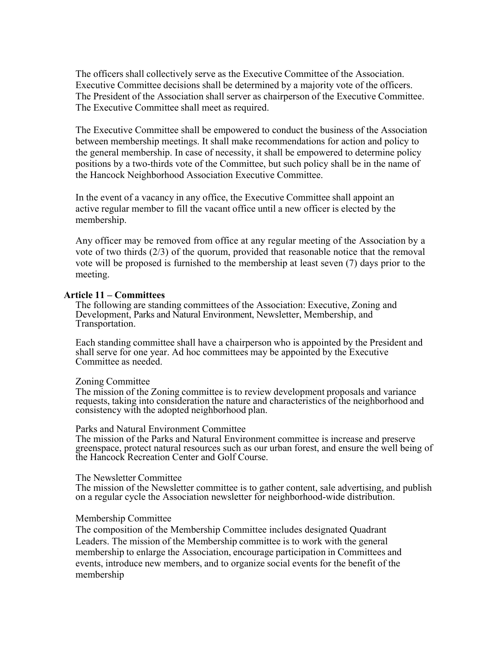The officers shall collectively serve as the Executive Committee of the Association. Executive Committee decisions shall be determined by a majority vote of the officers. The President of the Association shall server as chairperson of the Executive Committee. The Executive Committee shall meet as required.

The Executive Committee shall be empowered to conduct the business of the Association between membership meetings. It shall make recommendations for action and policy to the general membership. In case of necessity, it shall be empowered to determine policy positions by a two-thirds vote of the Committee, but such policy shall be in the name of the Hancock Neighborhood Association Executive Committee.

In the event of a vacancy in any office, the Executive Committee shall appoint an active regular member to fill the vacant office until a new officer is elected by the membership.

Any officer may be removed from office at any regular meeting of the Association by a vote of two thirds (2/3) of the quorum, provided that reasonable notice that the removal vote will be proposed is furnished to the membership at least seven (7) days prior to the meeting.

#### **Article 11 – Committees**

The following are standing committees of the Association: Executive, Zoning and Development, Parks and Natural Environment, Newsletter, Membership, and Transportation.

Each standing committee shall have a chairperson who is appointed by the President and shall serve for one year. Ad hoc committees may be appointed by the Executive Committee as needed.

#### Zoning Committee

The mission of the Zoning committee is to review development proposals and variance requests, taking into consideration the nature and characteristics of the neighborhood and consistency with the adopted neighborhood plan.

#### Parks and Natural Environment Committee

The mission of the Parks and Natural Environment committee is increase and preserve greenspace, protect natural resources such as our urban forest, and ensure the well being of the Hancock Recreation Center and Golf Course.

#### The Newsletter Committee

The mission of the Newsletter committee is to gather content, sale advertising, and publish on a regular cycle the Association newsletter for neighborhood-wide distribution.

#### Membership Committee

The composition of the Membership Committee includes designated Quadrant Leaders. The mission of the Membership committee is to work with the general membership to enlarge the Association, encourage participation in Committees and events, introduce new members, and to organize social events for the benefit of the membership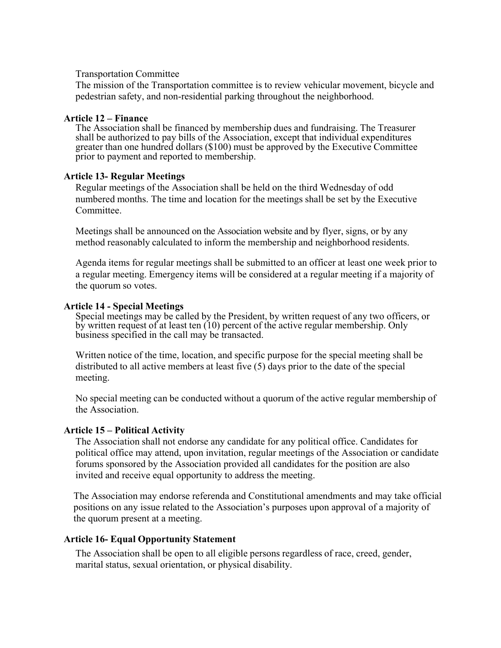## Transportation Committee

The mission of the Transportation committee is to review vehicular movement, bicycle and pedestrian safety, and non-residential parking throughout the neighborhood.

# **Article 12 – Finance**

The Association shall be financed by membership dues and fundraising. The Treasurer shall be authorized to pay bills of the Association, except that individual expenditures greater than one hundred dollars (\$100) must be approved by the Executive Committee prior to payment and reported to membership.

# **Article 13- Regular Meetings**

Regular meetings of the Association shall be held on the third Wednesday of odd numbered months. The time and location for the meetings shall be set by the Executive **Committee** 

Meetings shall be announced on the Association website and by flyer, signs, or by any method reasonably calculated to inform the membership and neighborhood residents.

Agenda items for regular meetings shall be submitted to an officer at least one week prior to a regular meeting. Emergency items will be considered at a regular meeting if a majority of the quorum so votes.

## **Article 14 - Special Meetings**

Special meetings may be called by the President, by written request of any two officers, or by written request of at least ten (10) percent of the active regular membership. Only business specified in the call may be transacted.

Written notice of the time, location, and specific purpose for the special meeting shall be distributed to all active members at least five (5) days prior to the date of the special meeting.

No special meeting can be conducted without a quorum of the active regular membership of the Association.

# **Article 15 – Political Activity**

The Association shall not endorse any candidate for any political office. Candidates for political office may attend, upon invitation, regular meetings of the Association or candidate forums sponsored by the Association provided all candidates for the position are also invited and receive equal opportunity to address the meeting.

The Association may endorse referenda and Constitutional amendments and may take official positions on any issue related to the Association's purposes upon approval of a majority of the quorum present at a meeting.

# **Article 16- Equal Opportunity Statement**

The Association shall be open to all eligible persons regardless of race, creed, gender, marital status, sexual orientation, or physical disability.